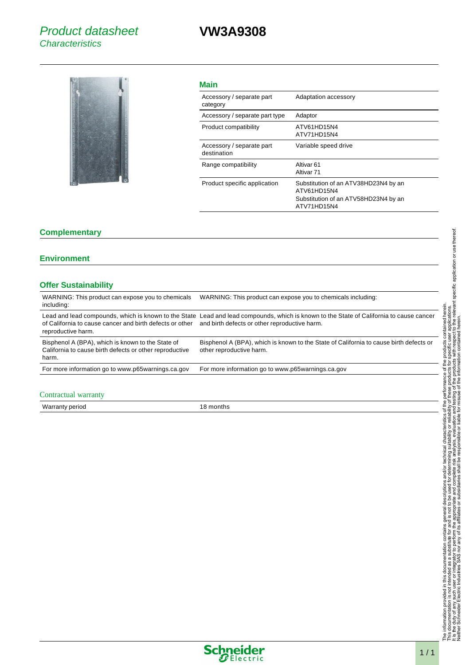# **VW3A9308**



|    | I |
|----|---|
|    |   |
|    |   |
| __ |   |

| Adaptation accessory                                                                                       |
|------------------------------------------------------------------------------------------------------------|
| Adaptor                                                                                                    |
| ATV61HD15N4<br>ATV71HD15N4                                                                                 |
| Variable speed drive                                                                                       |
| Altivar <sub>61</sub><br>Altivar <sub>71</sub>                                                             |
| Substitution of an ATV38HD23N4 by an<br>ATV61HD15N4<br>Substitution of an ATV58HD23N4 by an<br>ATV71HD15N4 |
|                                                                                                            |

#### **Complementary**

## **Environment**

# **Offer Sustainability**

| WARNING: This product can expose you to chemicals<br>including:                                                       | WARNING: This product can expose you to chemicals including:                                                                                                                             |
|-----------------------------------------------------------------------------------------------------------------------|------------------------------------------------------------------------------------------------------------------------------------------------------------------------------------------|
| of California to cause cancer and birth defects or other<br>reproductive harm.                                        | Lead and lead compounds, which is known to the State Lead and lead compounds, which is known to the State of California to cause cancer<br>and birth defects or other reproductive harm. |
| Bisphenol A (BPA), which is known to the State of<br>California to cause birth defects or other reproductive<br>harm. | Bisphenol A (BPA), which is known to the State of California to cause birth defects or<br>other reproductive harm.                                                                       |
| For more information go to www.p65warnings.ca.gov                                                                     | For more information go to www.p65warnings.ca.gov                                                                                                                                        |
|                                                                                                                       |                                                                                                                                                                                          |

## Contractual warranty

| <b>Warranty period</b> |  |
|------------------------|--|
|------------------------|--|

18 months